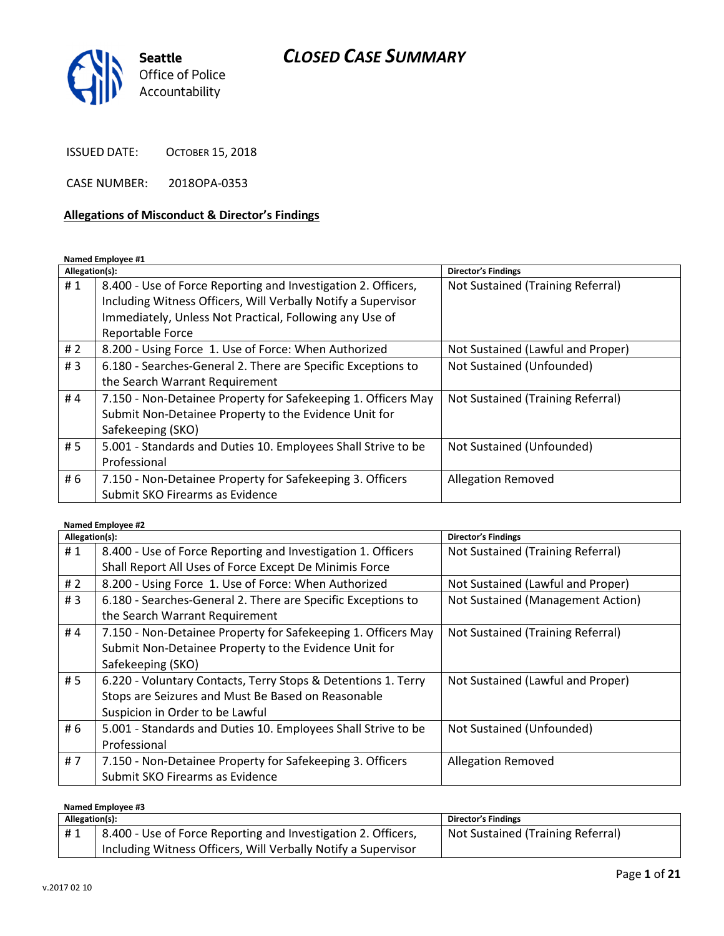

ISSUED DATE: OCTOBER 15, 2018

CASE NUMBER: 2018OPA-0353

#### Allegations of Misconduct & Director's Findings

#### Named Employee #1

| Allegation(s): |                                                               | <b>Director's Findings</b>        |
|----------------|---------------------------------------------------------------|-----------------------------------|
| #1             | 8.400 - Use of Force Reporting and Investigation 2. Officers, | Not Sustained (Training Referral) |
|                | Including Witness Officers, Will Verbally Notify a Supervisor |                                   |
|                | Immediately, Unless Not Practical, Following any Use of       |                                   |
|                | Reportable Force                                              |                                   |
| #2             | 8.200 - Using Force 1. Use of Force: When Authorized          | Not Sustained (Lawful and Proper) |
| #3             | 6.180 - Searches-General 2. There are Specific Exceptions to  | Not Sustained (Unfounded)         |
|                | the Search Warrant Requirement                                |                                   |
| #4             | 7.150 - Non-Detainee Property for Safekeeping 1. Officers May | Not Sustained (Training Referral) |
|                | Submit Non-Detainee Property to the Evidence Unit for         |                                   |
|                | Safekeeping (SKO)                                             |                                   |
| #5             | 5.001 - Standards and Duties 10. Employees Shall Strive to be | Not Sustained (Unfounded)         |
|                | Professional                                                  |                                   |
| # 6            | 7.150 - Non-Detainee Property for Safekeeping 3. Officers     | <b>Allegation Removed</b>         |
|                | Submit SKO Firearms as Evidence                               |                                   |

#### Named Employee #2

| Allegation(s): |                                                               | <b>Director's Findings</b>        |
|----------------|---------------------------------------------------------------|-----------------------------------|
| #1             | 8.400 - Use of Force Reporting and Investigation 1. Officers  | Not Sustained (Training Referral) |
|                | Shall Report All Uses of Force Except De Minimis Force        |                                   |
| # $2$          | 8.200 - Using Force 1. Use of Force: When Authorized          | Not Sustained (Lawful and Proper) |
| #3             | 6.180 - Searches-General 2. There are Specific Exceptions to  | Not Sustained (Management Action) |
|                | the Search Warrant Requirement                                |                                   |
| #4             | 7.150 - Non-Detainee Property for Safekeeping 1. Officers May | Not Sustained (Training Referral) |
|                | Submit Non-Detainee Property to the Evidence Unit for         |                                   |
|                | Safekeeping (SKO)                                             |                                   |
| #5             | 6.220 - Voluntary Contacts, Terry Stops & Detentions 1. Terry | Not Sustained (Lawful and Proper) |
|                | Stops are Seizures and Must Be Based on Reasonable            |                                   |
|                | Suspicion in Order to be Lawful                               |                                   |
| # 6            | 5.001 - Standards and Duties 10. Employees Shall Strive to be | Not Sustained (Unfounded)         |
|                | Professional                                                  |                                   |
| # $7$          | 7.150 - Non-Detainee Property for Safekeeping 3. Officers     | <b>Allegation Removed</b>         |
|                | Submit SKO Firearms as Evidence                               |                                   |

#### Named Employee #3

| Allegation(s): |                                                                            | <b>Director's Findings</b>        |
|----------------|----------------------------------------------------------------------------|-----------------------------------|
| #1             | <sup>1</sup> 8.400 - Use of Force Reporting and Investigation 2. Officers, | Not Sustained (Training Referral) |
|                | Including Witness Officers, Will Verbally Notify a Supervisor              |                                   |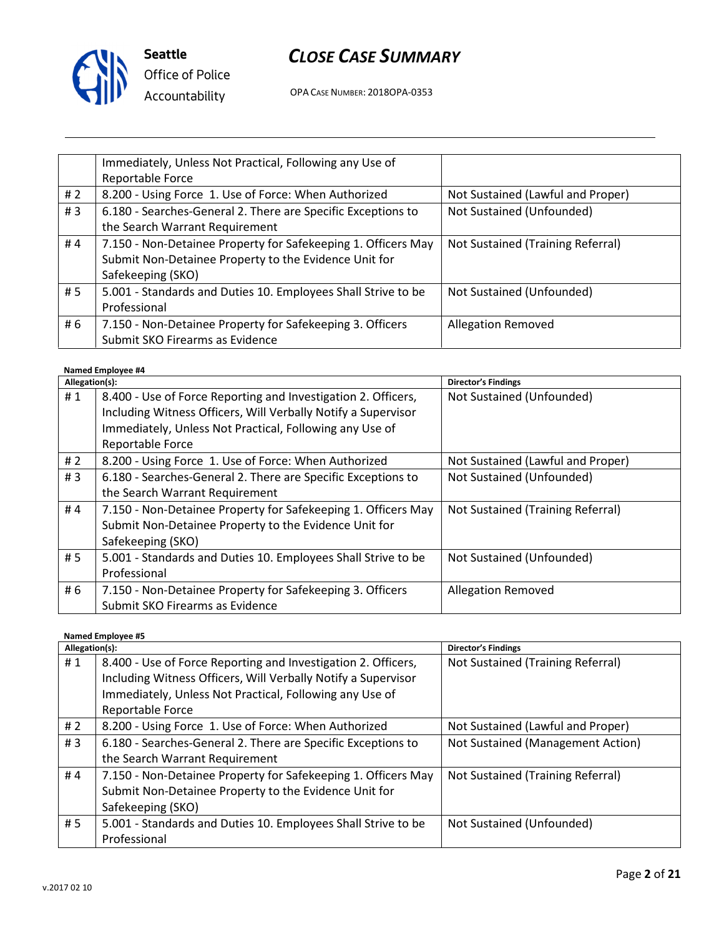

OPA CASE NUMBER: 2018OPA-0353

|     | Immediately, Unless Not Practical, Following any Use of       |                                   |
|-----|---------------------------------------------------------------|-----------------------------------|
|     | Reportable Force                                              |                                   |
| #2  | 8.200 - Using Force 1. Use of Force: When Authorized          | Not Sustained (Lawful and Proper) |
| #3  | 6.180 - Searches-General 2. There are Specific Exceptions to  | Not Sustained (Unfounded)         |
|     | the Search Warrant Requirement                                |                                   |
| #4  | 7.150 - Non-Detainee Property for Safekeeping 1. Officers May | Not Sustained (Training Referral) |
|     | Submit Non-Detainee Property to the Evidence Unit for         |                                   |
|     | Safekeeping (SKO)                                             |                                   |
| #5  | 5.001 - Standards and Duties 10. Employees Shall Strive to be | Not Sustained (Unfounded)         |
|     | Professional                                                  |                                   |
| # 6 | 7.150 - Non-Detainee Property for Safekeeping 3. Officers     | <b>Allegation Removed</b>         |
|     | Submit SKO Firearms as Evidence                               |                                   |

#### Named Employee #4

| Allegation(s): |                                                               | <b>Director's Findings</b>        |
|----------------|---------------------------------------------------------------|-----------------------------------|
| #1             | 8.400 - Use of Force Reporting and Investigation 2. Officers, | Not Sustained (Unfounded)         |
|                | Including Witness Officers, Will Verbally Notify a Supervisor |                                   |
|                | Immediately, Unless Not Practical, Following any Use of       |                                   |
|                | Reportable Force                                              |                                   |
| #2             | 8.200 - Using Force 1. Use of Force: When Authorized          | Not Sustained (Lawful and Proper) |
| #3             | 6.180 - Searches-General 2. There are Specific Exceptions to  | Not Sustained (Unfounded)         |
|                | the Search Warrant Requirement                                |                                   |
| #4             | 7.150 - Non-Detainee Property for Safekeeping 1. Officers May | Not Sustained (Training Referral) |
|                | Submit Non-Detainee Property to the Evidence Unit for         |                                   |
|                | Safekeeping (SKO)                                             |                                   |
| #5             | 5.001 - Standards and Duties 10. Employees Shall Strive to be | Not Sustained (Unfounded)         |
|                | Professional                                                  |                                   |
| # 6            | 7.150 - Non-Detainee Property for Safekeeping 3. Officers     | <b>Allegation Removed</b>         |
|                | Submit SKO Firearms as Evidence                               |                                   |

#### Named Employee #5

| Allegation(s): |                                                               | <b>Director's Findings</b>        |
|----------------|---------------------------------------------------------------|-----------------------------------|
| #1             | 8.400 - Use of Force Reporting and Investigation 2. Officers, | Not Sustained (Training Referral) |
|                | Including Witness Officers, Will Verbally Notify a Supervisor |                                   |
|                | Immediately, Unless Not Practical, Following any Use of       |                                   |
|                | Reportable Force                                              |                                   |
| # $2$          | 8.200 - Using Force 1. Use of Force: When Authorized          | Not Sustained (Lawful and Proper) |
| # $3$          | 6.180 - Searches-General 2. There are Specific Exceptions to  | Not Sustained (Management Action) |
|                | the Search Warrant Requirement                                |                                   |
| #4             | 7.150 - Non-Detainee Property for Safekeeping 1. Officers May | Not Sustained (Training Referral) |
|                | Submit Non-Detainee Property to the Evidence Unit for         |                                   |
|                | Safekeeping (SKO)                                             |                                   |
| # 5            | 5.001 - Standards and Duties 10. Employees Shall Strive to be | Not Sustained (Unfounded)         |
|                | Professional                                                  |                                   |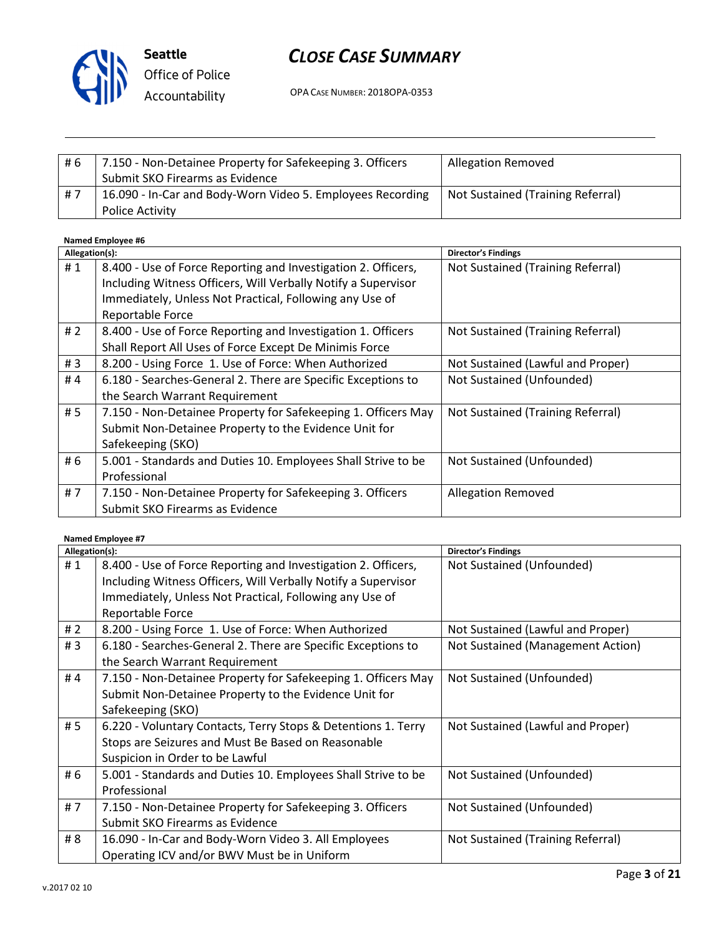

# CLOSE CASE SUMMARY

OPA CASE NUMBER: 2018OPA-0353

| #6    | 7.150 - Non-Detainee Property for Safekeeping 3. Officers  | <b>Allegation Removed</b>         |
|-------|------------------------------------------------------------|-----------------------------------|
|       | Submit SKO Firearms as Evidence                            |                                   |
| - # 7 | 16.090 - In-Car and Body-Worn Video 5. Employees Recording | Not Sustained (Training Referral) |
|       | <b>Police Activity</b>                                     |                                   |

#### Named Employee #6

| Allegation(s): |                                                                                                                                                                                                               | <b>Director's Findings</b>        |
|----------------|---------------------------------------------------------------------------------------------------------------------------------------------------------------------------------------------------------------|-----------------------------------|
| #1             | 8.400 - Use of Force Reporting and Investigation 2. Officers,<br>Including Witness Officers, Will Verbally Notify a Supervisor<br>Immediately, Unless Not Practical, Following any Use of<br>Reportable Force | Not Sustained (Training Referral) |
| #2             | 8.400 - Use of Force Reporting and Investigation 1. Officers<br>Shall Report All Uses of Force Except De Minimis Force                                                                                        | Not Sustained (Training Referral) |
| #3             | 8.200 - Using Force 1. Use of Force: When Authorized                                                                                                                                                          | Not Sustained (Lawful and Proper) |
| #4             | 6.180 - Searches-General 2. There are Specific Exceptions to<br>the Search Warrant Requirement                                                                                                                | Not Sustained (Unfounded)         |
| # 5            | 7.150 - Non-Detainee Property for Safekeeping 1. Officers May<br>Submit Non-Detainee Property to the Evidence Unit for<br>Safekeeping (SKO)                                                                   | Not Sustained (Training Referral) |
| # 6            | 5.001 - Standards and Duties 10. Employees Shall Strive to be<br>Professional                                                                                                                                 | Not Sustained (Unfounded)         |
| #7             | 7.150 - Non-Detainee Property for Safekeeping 3. Officers<br>Submit SKO Firearms as Evidence                                                                                                                  | <b>Allegation Removed</b>         |

#### Named Employee #7

| Allegation(s): |                                                               | <b>Director's Findings</b>        |
|----------------|---------------------------------------------------------------|-----------------------------------|
| #1             | 8.400 - Use of Force Reporting and Investigation 2. Officers, | Not Sustained (Unfounded)         |
|                | Including Witness Officers, Will Verbally Notify a Supervisor |                                   |
|                | Immediately, Unless Not Practical, Following any Use of       |                                   |
|                | Reportable Force                                              |                                   |
| # $2$          | 8.200 - Using Force 1. Use of Force: When Authorized          | Not Sustained (Lawful and Proper) |
| #3             | 6.180 - Searches-General 2. There are Specific Exceptions to  | Not Sustained (Management Action) |
|                | the Search Warrant Requirement                                |                                   |
| #4             | 7.150 - Non-Detainee Property for Safekeeping 1. Officers May | Not Sustained (Unfounded)         |
|                | Submit Non-Detainee Property to the Evidence Unit for         |                                   |
|                | Safekeeping (SKO)                                             |                                   |
| # 5            | 6.220 - Voluntary Contacts, Terry Stops & Detentions 1. Terry | Not Sustained (Lawful and Proper) |
|                | Stops are Seizures and Must Be Based on Reasonable            |                                   |
|                | Suspicion in Order to be Lawful                               |                                   |
| # 6            | 5.001 - Standards and Duties 10. Employees Shall Strive to be | Not Sustained (Unfounded)         |
|                | Professional                                                  |                                   |
| #7             | 7.150 - Non-Detainee Property for Safekeeping 3. Officers     | Not Sustained (Unfounded)         |
|                | Submit SKO Firearms as Evidence                               |                                   |
| # 8            | 16.090 - In-Car and Body-Worn Video 3. All Employees          | Not Sustained (Training Referral) |
|                | Operating ICV and/or BWV Must be in Uniform                   |                                   |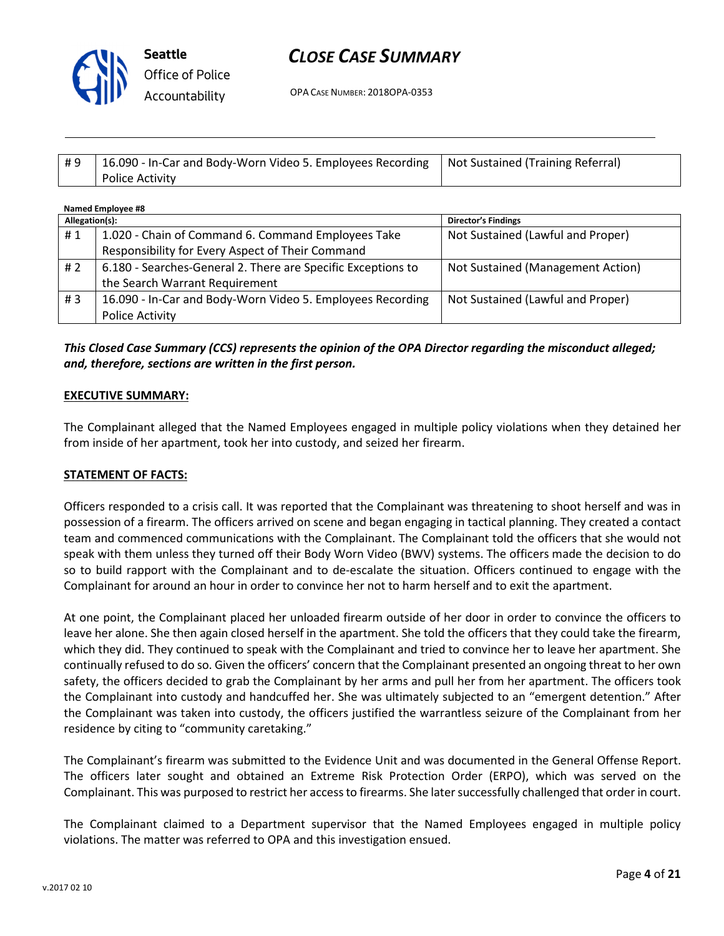

OPA CASE NUMBER: 2018OPA-0353

| #9 | 16.090 - In-Car and Body-Worn Video 5. Employees Recording   Not Sustained (Training Referral) |  |
|----|------------------------------------------------------------------------------------------------|--|
|    | Police Activity                                                                                |  |

| Named Employee #8 |                                                              |                                   |
|-------------------|--------------------------------------------------------------|-----------------------------------|
| Allegation(s):    |                                                              | <b>Director's Findings</b>        |
| #1                | 1.020 - Chain of Command 6. Command Employees Take           | Not Sustained (Lawful and Proper) |
|                   | Responsibility for Every Aspect of Their Command             |                                   |
| #2                | 6.180 - Searches-General 2. There are Specific Exceptions to | Not Sustained (Management Action) |
|                   | the Search Warrant Requirement                               |                                   |
| #3                | 16.090 - In-Car and Body-Worn Video 5. Employees Recording   | Not Sustained (Lawful and Proper) |
|                   | Police Activity                                              |                                   |

This Closed Case Summary (CCS) represents the opinion of the OPA Director regarding the misconduct alleged; and, therefore, sections are written in the first person.

#### EXECUTIVE SUMMARY:

The Complainant alleged that the Named Employees engaged in multiple policy violations when they detained her from inside of her apartment, took her into custody, and seized her firearm.

#### STATEMENT OF FACTS:

Officers responded to a crisis call. It was reported that the Complainant was threatening to shoot herself and was in possession of a firearm. The officers arrived on scene and began engaging in tactical planning. They created a contact team and commenced communications with the Complainant. The Complainant told the officers that she would not speak with them unless they turned off their Body Worn Video (BWV) systems. The officers made the decision to do so to build rapport with the Complainant and to de-escalate the situation. Officers continued to engage with the Complainant for around an hour in order to convince her not to harm herself and to exit the apartment.

At one point, the Complainant placed her unloaded firearm outside of her door in order to convince the officers to leave her alone. She then again closed herself in the apartment. She told the officers that they could take the firearm, which they did. They continued to speak with the Complainant and tried to convince her to leave her apartment. She continually refused to do so. Given the officers' concern that the Complainant presented an ongoing threat to her own safety, the officers decided to grab the Complainant by her arms and pull her from her apartment. The officers took the Complainant into custody and handcuffed her. She was ultimately subjected to an "emergent detention." After the Complainant was taken into custody, the officers justified the warrantless seizure of the Complainant from her residence by citing to "community caretaking."

The Complainant's firearm was submitted to the Evidence Unit and was documented in the General Offense Report. The officers later sought and obtained an Extreme Risk Protection Order (ERPO), which was served on the Complainant. This was purposed to restrict her access to firearms. She later successfully challenged that order in court.

The Complainant claimed to a Department supervisor that the Named Employees engaged in multiple policy violations. The matter was referred to OPA and this investigation ensued.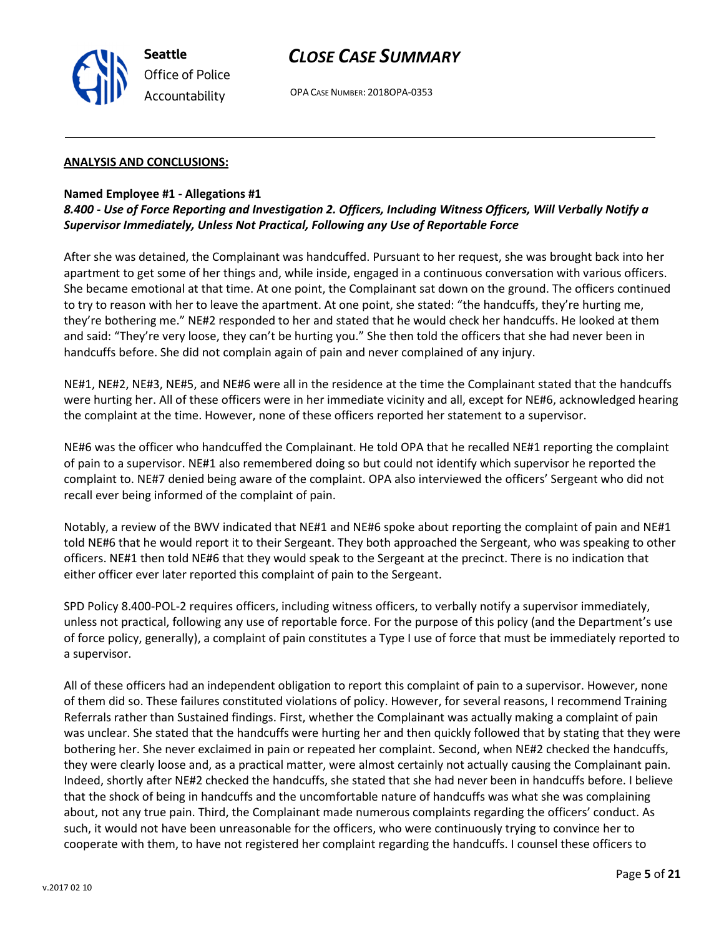

OPA CASE NUMBER: 2018OPA-0353

#### ANALYSIS AND CONCLUSIONS:

#### Named Employee #1 - Allegations #1

## 8.400 - Use of Force Reporting and Investigation 2. Officers, Including Witness Officers, Will Verbally Notify a Supervisor Immediately, Unless Not Practical, Following any Use of Reportable Force

After she was detained, the Complainant was handcuffed. Pursuant to her request, she was brought back into her apartment to get some of her things and, while inside, engaged in a continuous conversation with various officers. She became emotional at that time. At one point, the Complainant sat down on the ground. The officers continued to try to reason with her to leave the apartment. At one point, she stated: "the handcuffs, they're hurting me, they're bothering me." NE#2 responded to her and stated that he would check her handcuffs. He looked at them and said: "They're very loose, they can't be hurting you." She then told the officers that she had never been in handcuffs before. She did not complain again of pain and never complained of any injury.

NE#1, NE#2, NE#3, NE#5, and NE#6 were all in the residence at the time the Complainant stated that the handcuffs were hurting her. All of these officers were in her immediate vicinity and all, except for NE#6, acknowledged hearing the complaint at the time. However, none of these officers reported her statement to a supervisor.

NE#6 was the officer who handcuffed the Complainant. He told OPA that he recalled NE#1 reporting the complaint of pain to a supervisor. NE#1 also remembered doing so but could not identify which supervisor he reported the complaint to. NE#7 denied being aware of the complaint. OPA also interviewed the officers' Sergeant who did not recall ever being informed of the complaint of pain.

Notably, a review of the BWV indicated that NE#1 and NE#6 spoke about reporting the complaint of pain and NE#1 told NE#6 that he would report it to their Sergeant. They both approached the Sergeant, who was speaking to other officers. NE#1 then told NE#6 that they would speak to the Sergeant at the precinct. There is no indication that either officer ever later reported this complaint of pain to the Sergeant.

SPD Policy 8.400-POL-2 requires officers, including witness officers, to verbally notify a supervisor immediately, unless not practical, following any use of reportable force. For the purpose of this policy (and the Department's use of force policy, generally), a complaint of pain constitutes a Type I use of force that must be immediately reported to a supervisor.

All of these officers had an independent obligation to report this complaint of pain to a supervisor. However, none of them did so. These failures constituted violations of policy. However, for several reasons, I recommend Training Referrals rather than Sustained findings. First, whether the Complainant was actually making a complaint of pain was unclear. She stated that the handcuffs were hurting her and then quickly followed that by stating that they were bothering her. She never exclaimed in pain or repeated her complaint. Second, when NE#2 checked the handcuffs, they were clearly loose and, as a practical matter, were almost certainly not actually causing the Complainant pain. Indeed, shortly after NE#2 checked the handcuffs, she stated that she had never been in handcuffs before. I believe that the shock of being in handcuffs and the uncomfortable nature of handcuffs was what she was complaining about, not any true pain. Third, the Complainant made numerous complaints regarding the officers' conduct. As such, it would not have been unreasonable for the officers, who were continuously trying to convince her to cooperate with them, to have not registered her complaint regarding the handcuffs. I counsel these officers to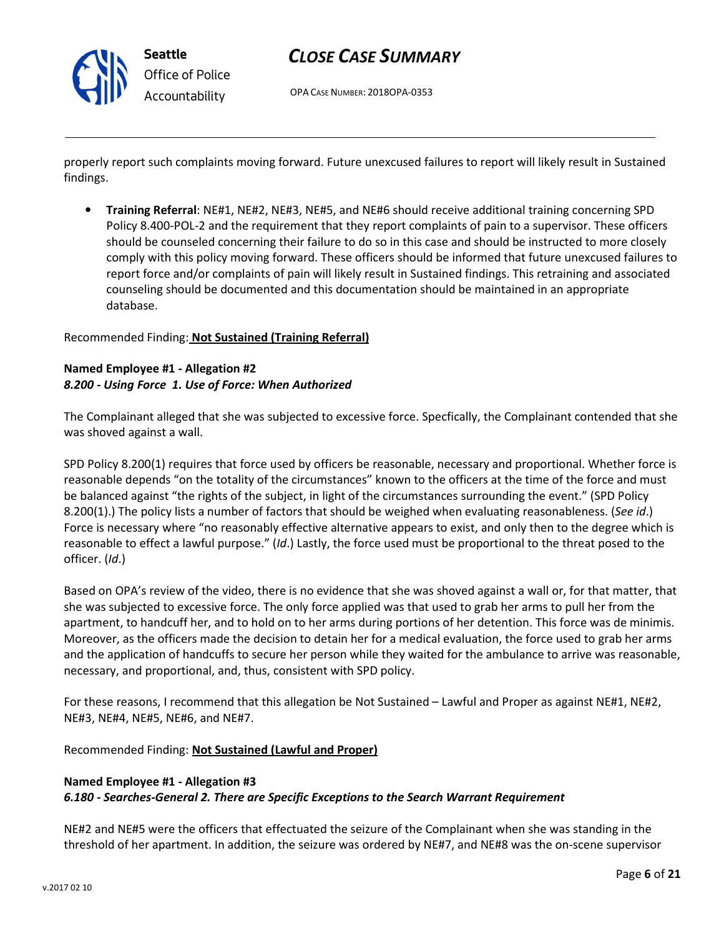

OPA CASE NUMBER: 2018OPA-0353

properly report such complaints moving forward. Future unexcused failures to report will likely result in Sustained findings.

• Training Referral: NE#1, NE#2, NE#3, NE#5, and NE#6 should receive additional training concerning SPD Policy 8.400-POL-2 and the requirement that they report complaints of pain to a supervisor. These officers should be counseled concerning their failure to do so in this case and should be instructed to more closely comply with this policy moving forward. These officers should be informed that future unexcused failures to report force and/or complaints of pain will likely result in Sustained findings. This retraining and associated counseling should be documented and this documentation should be maintained in an appropriate database.

### Recommended Finding: Not Sustained (Training Referral)

### Named Employee #1 - Allegation #2 8.200 - Using Force 1. Use of Force: When Authorized

The Complainant alleged that she was subjected to excessive force. Specfically, the Complainant contended that she was shoved against a wall.

SPD Policy 8.200(1) requires that force used by officers be reasonable, necessary and proportional. Whether force is reasonable depends "on the totality of the circumstances" known to the officers at the time of the force and must be balanced against "the rights of the subject, in light of the circumstances surrounding the event." (SPD Policy 8.200(1).) The policy lists a number of factors that should be weighed when evaluating reasonableness. (See id.) Force is necessary where "no reasonably effective alternative appears to exist, and only then to the degree which is reasonable to effect a lawful purpose." (Id.) Lastly, the force used must be proportional to the threat posed to the officer. (Id.)

Based on OPA's review of the video, there is no evidence that she was shoved against a wall or, for that matter, that she was subjected to excessive force. The only force applied was that used to grab her arms to pull her from the apartment, to handcuff her, and to hold on to her arms during portions of her detention. This force was de minimis. Moreover, as the officers made the decision to detain her for a medical evaluation, the force used to grab her arms and the application of handcuffs to secure her person while they waited for the ambulance to arrive was reasonable, necessary, and proportional, and, thus, consistent with SPD policy.

For these reasons, I recommend that this allegation be Not Sustained – Lawful and Proper as against NE#1, NE#2, NE#3, NE#4, NE#5, NE#6, and NE#7.

Recommended Finding: Not Sustained (Lawful and Proper)

### Named Employee #1 - Allegation #3 6.180 - Searches-General 2. There are Specific Exceptions to the Search Warrant Requirement

NE#2 and NE#5 were the officers that effectuated the seizure of the Complainant when she was standing in the threshold of her apartment. In addition, the seizure was ordered by NE#7, and NE#8 was the on-scene supervisor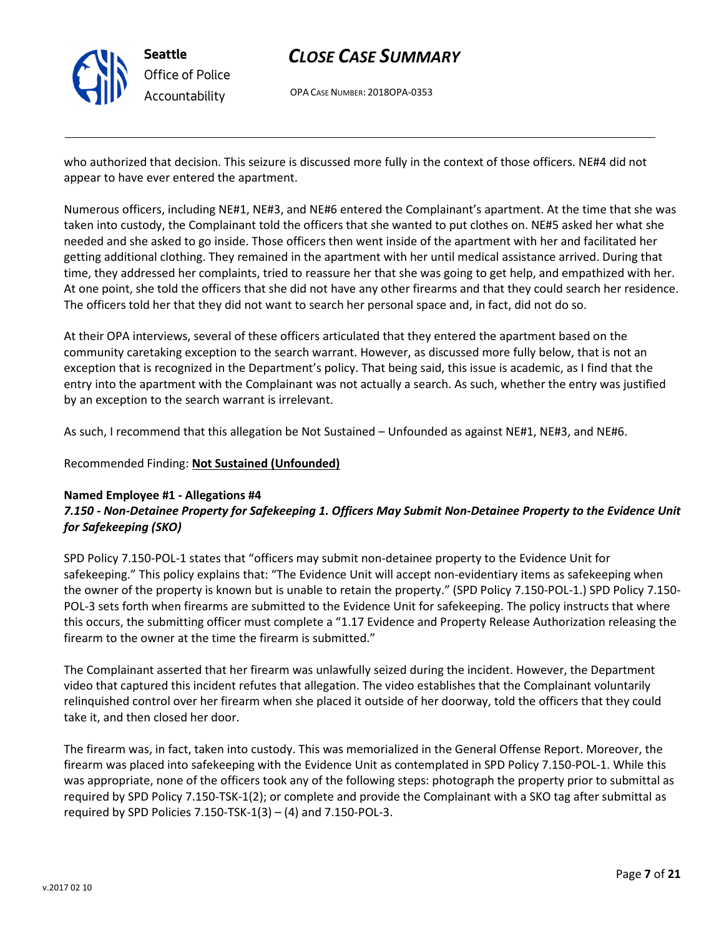

OPA CASE NUMBER: 2018OPA-0353

who authorized that decision. This seizure is discussed more fully in the context of those officers. NE#4 did not appear to have ever entered the apartment.

Numerous officers, including NE#1, NE#3, and NE#6 entered the Complainant's apartment. At the time that she was taken into custody, the Complainant told the officers that she wanted to put clothes on. NE#5 asked her what she needed and she asked to go inside. Those officers then went inside of the apartment with her and facilitated her getting additional clothing. They remained in the apartment with her until medical assistance arrived. During that time, they addressed her complaints, tried to reassure her that she was going to get help, and empathized with her. At one point, she told the officers that she did not have any other firearms and that they could search her residence. The officers told her that they did not want to search her personal space and, in fact, did not do so.

At their OPA interviews, several of these officers articulated that they entered the apartment based on the community caretaking exception to the search warrant. However, as discussed more fully below, that is not an exception that is recognized in the Department's policy. That being said, this issue is academic, as I find that the entry into the apartment with the Complainant was not actually a search. As such, whether the entry was justified by an exception to the search warrant is irrelevant.

As such, I recommend that this allegation be Not Sustained – Unfounded as against NE#1, NE#3, and NE#6.

### Recommended Finding: Not Sustained (Unfounded)

#### Named Employee #1 - Allegations #4

## 7.150 - Non-Detainee Property for Safekeeping 1. Officers May Submit Non-Detainee Property to the Evidence Unit for Safekeeping (SKO)

SPD Policy 7.150-POL-1 states that "officers may submit non-detainee property to the Evidence Unit for safekeeping." This policy explains that: "The Evidence Unit will accept non-evidentiary items as safekeeping when the owner of the property is known but is unable to retain the property." (SPD Policy 7.150-POL-1.) SPD Policy 7.150- POL-3 sets forth when firearms are submitted to the Evidence Unit for safekeeping. The policy instructs that where this occurs, the submitting officer must complete a "1.17 Evidence and Property Release Authorization releasing the firearm to the owner at the time the firearm is submitted."

The Complainant asserted that her firearm was unlawfully seized during the incident. However, the Department video that captured this incident refutes that allegation. The video establishes that the Complainant voluntarily relinquished control over her firearm when she placed it outside of her doorway, told the officers that they could take it, and then closed her door.

The firearm was, in fact, taken into custody. This was memorialized in the General Offense Report. Moreover, the firearm was placed into safekeeping with the Evidence Unit as contemplated in SPD Policy 7.150-POL-1. While this was appropriate, none of the officers took any of the following steps: photograph the property prior to submittal as required by SPD Policy 7.150-TSK-1(2); or complete and provide the Complainant with a SKO tag after submittal as required by SPD Policies  $7.150 - TSK-1(3) - (4)$  and  $7.150 - POL-3$ .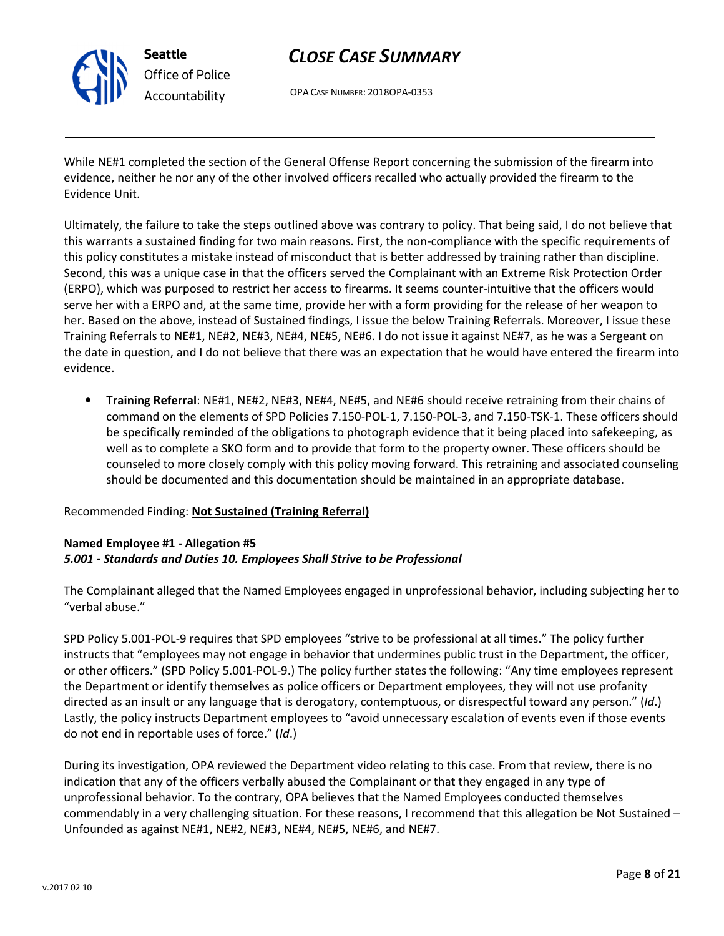

# CLOSE CASE SUMMARY

OPA CASE NUMBER: 2018OPA-0353

While NE#1 completed the section of the General Offense Report concerning the submission of the firearm into evidence, neither he nor any of the other involved officers recalled who actually provided the firearm to the Evidence Unit.

Ultimately, the failure to take the steps outlined above was contrary to policy. That being said, I do not believe that this warrants a sustained finding for two main reasons. First, the non-compliance with the specific requirements of this policy constitutes a mistake instead of misconduct that is better addressed by training rather than discipline. Second, this was a unique case in that the officers served the Complainant with an Extreme Risk Protection Order (ERPO), which was purposed to restrict her access to firearms. It seems counter-intuitive that the officers would serve her with a ERPO and, at the same time, provide her with a form providing for the release of her weapon to her. Based on the above, instead of Sustained findings, I issue the below Training Referrals. Moreover, I issue these Training Referrals to NE#1, NE#2, NE#3, NE#4, NE#5, NE#6. I do not issue it against NE#7, as he was a Sergeant on the date in question, and I do not believe that there was an expectation that he would have entered the firearm into evidence.

• Training Referral: NE#1, NE#2, NE#3, NE#4, NE#5, and NE#6 should receive retraining from their chains of command on the elements of SPD Policies 7.150-POL-1, 7.150-POL-3, and 7.150-TSK-1. These officers should be specifically reminded of the obligations to photograph evidence that it being placed into safekeeping, as well as to complete a SKO form and to provide that form to the property owner. These officers should be counseled to more closely comply with this policy moving forward. This retraining and associated counseling should be documented and this documentation should be maintained in an appropriate database.

## Recommended Finding: Not Sustained (Training Referral)

## Named Employee #1 - Allegation #5 5.001 - Standards and Duties 10. Employees Shall Strive to be Professional

The Complainant alleged that the Named Employees engaged in unprofessional behavior, including subjecting her to "verbal abuse."

SPD Policy 5.001-POL-9 requires that SPD employees "strive to be professional at all times." The policy further instructs that "employees may not engage in behavior that undermines public trust in the Department, the officer, or other officers." (SPD Policy 5.001-POL-9.) The policy further states the following: "Any time employees represent the Department or identify themselves as police officers or Department employees, they will not use profanity directed as an insult or any language that is derogatory, contemptuous, or disrespectful toward any person." (Id.) Lastly, the policy instructs Department employees to "avoid unnecessary escalation of events even if those events do not end in reportable uses of force." (Id.)

During its investigation, OPA reviewed the Department video relating to this case. From that review, there is no indication that any of the officers verbally abused the Complainant or that they engaged in any type of unprofessional behavior. To the contrary, OPA believes that the Named Employees conducted themselves commendably in a very challenging situation. For these reasons, I recommend that this allegation be Not Sustained – Unfounded as against NE#1, NE#2, NE#3, NE#4, NE#5, NE#6, and NE#7.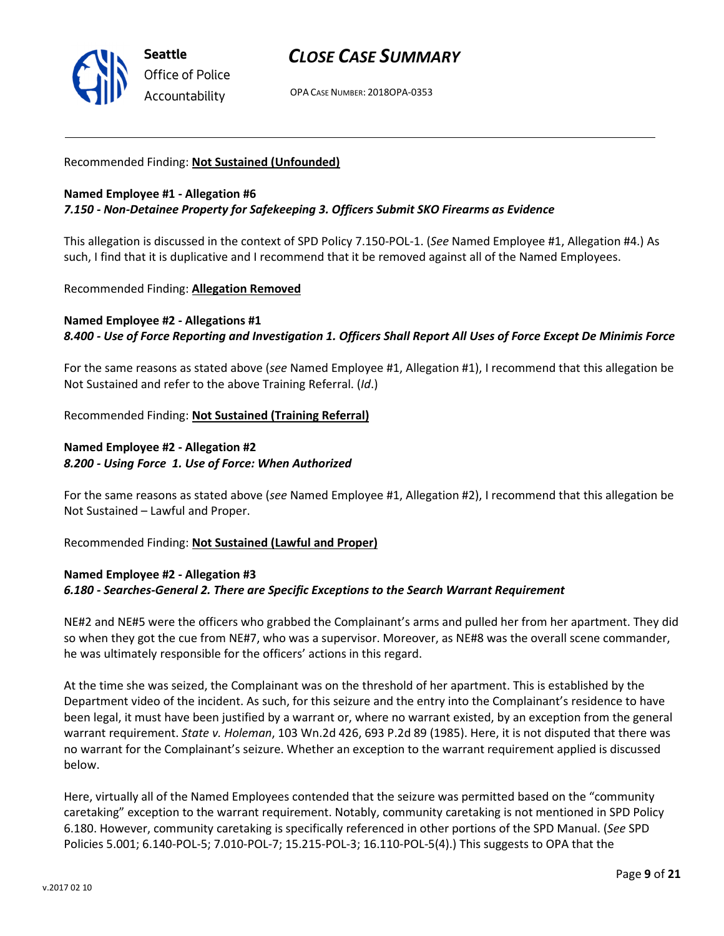

OPA CASE NUMBER: 2018OPA-0353

#### Recommended Finding: Not Sustained (Unfounded)

#### Named Employee #1 - Allegation #6 7.150 - Non-Detainee Property for Safekeeping 3. Officers Submit SKO Firearms as Evidence

This allegation is discussed in the context of SPD Policy 7.150-POL-1. (See Named Employee #1, Allegation #4.) As such, I find that it is duplicative and I recommend that it be removed against all of the Named Employees.

#### Recommended Finding: Allegation Removed

### Named Employee #2 - Allegations #1 8.400 - Use of Force Reporting and Investigation 1. Officers Shall Report All Uses of Force Except De Minimis Force

For the same reasons as stated above (see Named Employee #1, Allegation #1), I recommend that this allegation be Not Sustained and refer to the above Training Referral. (Id.)

Recommended Finding: Not Sustained (Training Referral)

### Named Employee #2 - Allegation #2 8.200 - Using Force 1. Use of Force: When Authorized

For the same reasons as stated above (see Named Employee #1, Allegation #2), I recommend that this allegation be Not Sustained – Lawful and Proper.

Recommended Finding: Not Sustained (Lawful and Proper)

## Named Employee #2 - Allegation #3 6.180 - Searches-General 2. There are Specific Exceptions to the Search Warrant Requirement

NE#2 and NE#5 were the officers who grabbed the Complainant's arms and pulled her from her apartment. They did so when they got the cue from NE#7, who was a supervisor. Moreover, as NE#8 was the overall scene commander, he was ultimately responsible for the officers' actions in this regard.

At the time she was seized, the Complainant was on the threshold of her apartment. This is established by the Department video of the incident. As such, for this seizure and the entry into the Complainant's residence to have been legal, it must have been justified by a warrant or, where no warrant existed, by an exception from the general warrant requirement. State v. Holeman, 103 Wn.2d 426, 693 P.2d 89 (1985). Here, it is not disputed that there was no warrant for the Complainant's seizure. Whether an exception to the warrant requirement applied is discussed below.

Here, virtually all of the Named Employees contended that the seizure was permitted based on the "community caretaking" exception to the warrant requirement. Notably, community caretaking is not mentioned in SPD Policy 6.180. However, community caretaking is specifically referenced in other portions of the SPD Manual. (See SPD Policies 5.001; 6.140-POL-5; 7.010-POL-7; 15.215-POL-3; 16.110-POL-5(4).) This suggests to OPA that the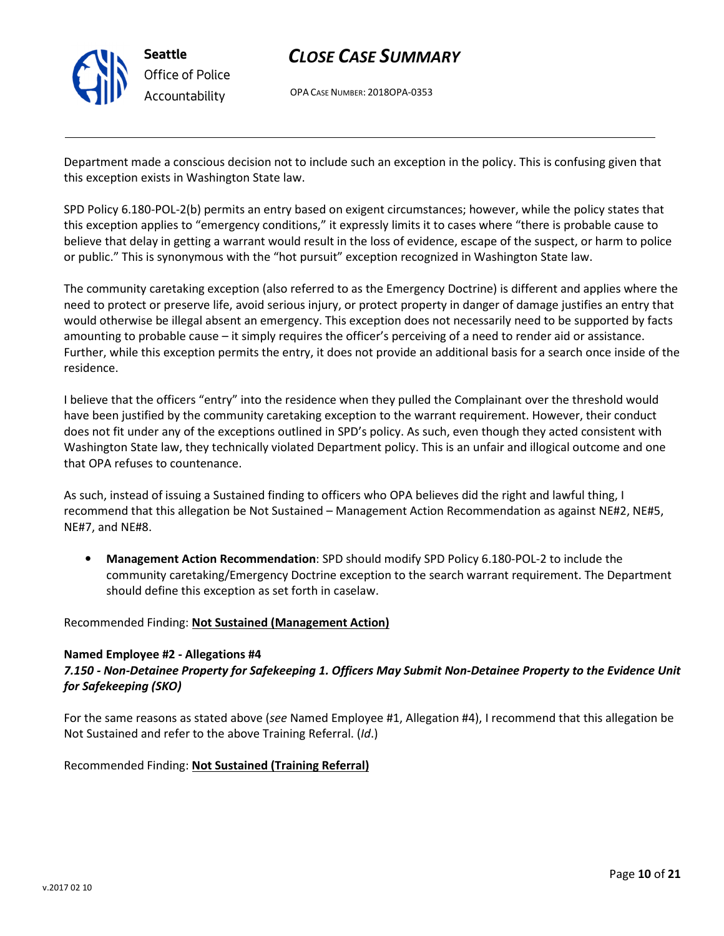

OPA CASE NUMBER: 2018OPA-0353

Department made a conscious decision not to include such an exception in the policy. This is confusing given that this exception exists in Washington State law.

SPD Policy 6.180-POL-2(b) permits an entry based on exigent circumstances; however, while the policy states that this exception applies to "emergency conditions," it expressly limits it to cases where "there is probable cause to believe that delay in getting a warrant would result in the loss of evidence, escape of the suspect, or harm to police or public." This is synonymous with the "hot pursuit" exception recognized in Washington State law.

The community caretaking exception (also referred to as the Emergency Doctrine) is different and applies where the need to protect or preserve life, avoid serious injury, or protect property in danger of damage justifies an entry that would otherwise be illegal absent an emergency. This exception does not necessarily need to be supported by facts amounting to probable cause – it simply requires the officer's perceiving of a need to render aid or assistance. Further, while this exception permits the entry, it does not provide an additional basis for a search once inside of the residence.

I believe that the officers "entry" into the residence when they pulled the Complainant over the threshold would have been justified by the community caretaking exception to the warrant requirement. However, their conduct does not fit under any of the exceptions outlined in SPD's policy. As such, even though they acted consistent with Washington State law, they technically violated Department policy. This is an unfair and illogical outcome and one that OPA refuses to countenance.

As such, instead of issuing a Sustained finding to officers who OPA believes did the right and lawful thing, I recommend that this allegation be Not Sustained – Management Action Recommendation as against NE#2, NE#5, NE#7, and NE#8.

• Management Action Recommendation: SPD should modify SPD Policy 6.180-POL-2 to include the community caretaking/Emergency Doctrine exception to the search warrant requirement. The Department should define this exception as set forth in caselaw.

Recommended Finding: Not Sustained (Management Action)

#### Named Employee #2 - Allegations #4

## 7.150 - Non-Detainee Property for Safekeeping 1. Officers May Submit Non-Detainee Property to the Evidence Unit for Safekeeping (SKO)

For the same reasons as stated above (see Named Employee #1, Allegation #4), I recommend that this allegation be Not Sustained and refer to the above Training Referral. (Id.)

Recommended Finding: Not Sustained (Training Referral)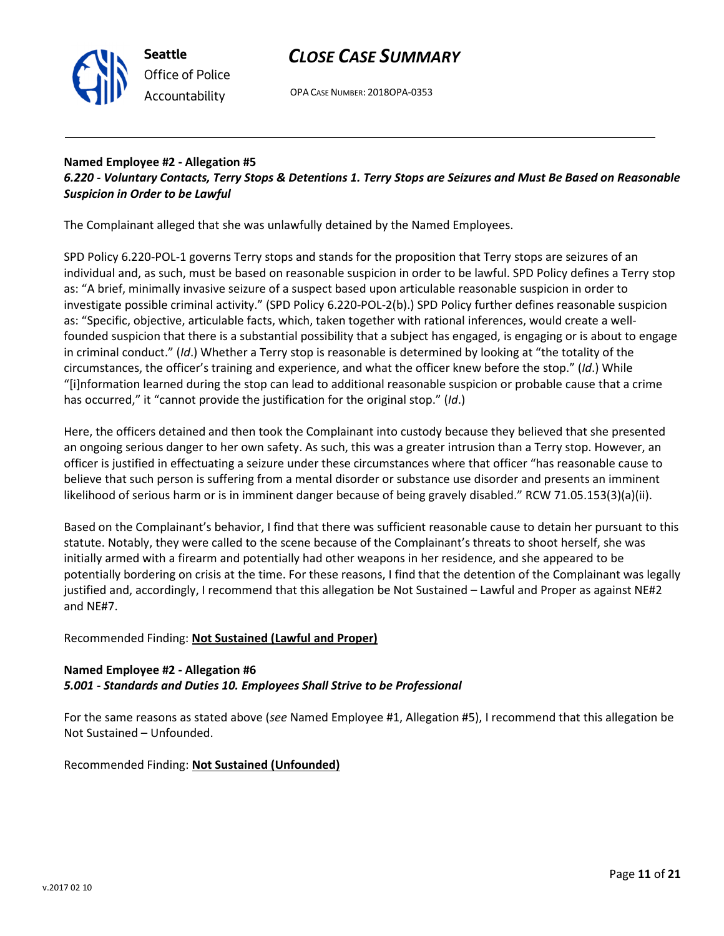

OPA CASE NUMBER: 2018OPA-0353

## Named Employee #2 - Allegation #5 6.220 - Voluntary Contacts, Terry Stops & Detentions 1. Terry Stops are Seizures and Must Be Based on Reasonable Suspicion in Order to be Lawful

The Complainant alleged that she was unlawfully detained by the Named Employees.

SPD Policy 6.220-POL-1 governs Terry stops and stands for the proposition that Terry stops are seizures of an individual and, as such, must be based on reasonable suspicion in order to be lawful. SPD Policy defines a Terry stop as: "A brief, minimally invasive seizure of a suspect based upon articulable reasonable suspicion in order to investigate possible criminal activity." (SPD Policy 6.220-POL-2(b).) SPD Policy further defines reasonable suspicion as: "Specific, objective, articulable facts, which, taken together with rational inferences, would create a wellfounded suspicion that there is a substantial possibility that a subject has engaged, is engaging or is about to engage in criminal conduct." (Id.) Whether a Terry stop is reasonable is determined by looking at "the totality of the circumstances, the officer's training and experience, and what the officer knew before the stop." (Id.) While "[i]nformation learned during the stop can lead to additional reasonable suspicion or probable cause that a crime has occurred," it "cannot provide the justification for the original stop." (Id.)

Here, the officers detained and then took the Complainant into custody because they believed that she presented an ongoing serious danger to her own safety. As such, this was a greater intrusion than a Terry stop. However, an officer is justified in effectuating a seizure under these circumstances where that officer "has reasonable cause to believe that such person is suffering from a mental disorder or substance use disorder and presents an imminent likelihood of serious harm or is in imminent danger because of being gravely disabled." RCW 71.05.153(3)(a)(ii).

Based on the Complainant's behavior, I find that there was sufficient reasonable cause to detain her pursuant to this statute. Notably, they were called to the scene because of the Complainant's threats to shoot herself, she was initially armed with a firearm and potentially had other weapons in her residence, and she appeared to be potentially bordering on crisis at the time. For these reasons, I find that the detention of the Complainant was legally justified and, accordingly, I recommend that this allegation be Not Sustained – Lawful and Proper as against NE#2 and NE#7.

## Recommended Finding: Not Sustained (Lawful and Proper)

## Named Employee #2 - Allegation #6 5.001 - Standards and Duties 10. Employees Shall Strive to be Professional

For the same reasons as stated above (see Named Employee #1, Allegation #5), I recommend that this allegation be Not Sustained – Unfounded.

Recommended Finding: Not Sustained (Unfounded)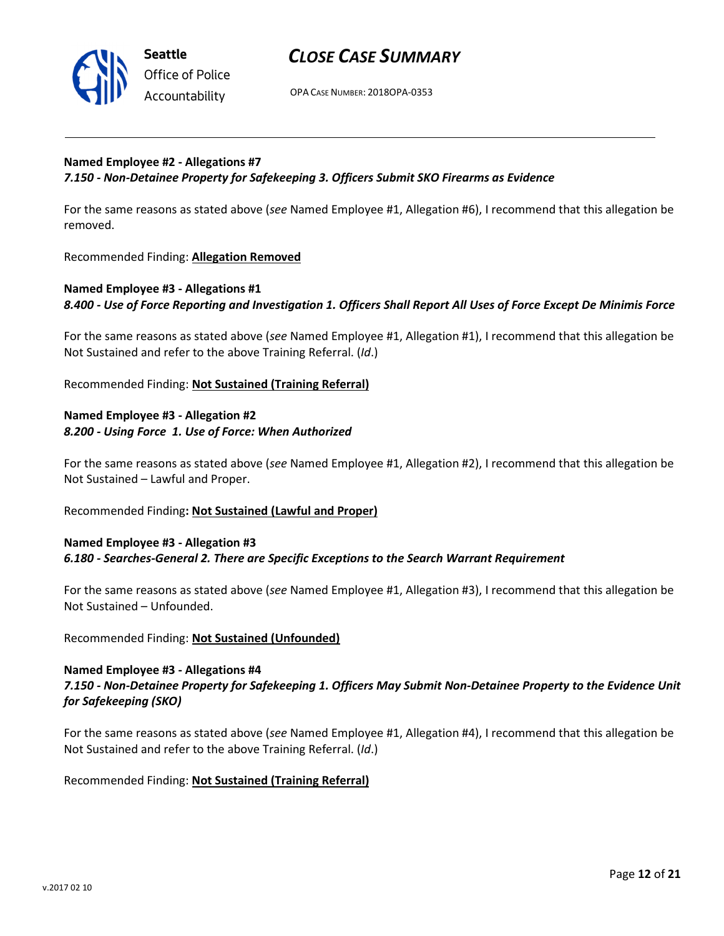

## CLOSE CASE SUMMARY

OPA CASE NUMBER: 2018OPA-0353

### Named Employee #2 - Allegations #7 7.150 - Non-Detainee Property for Safekeeping 3. Officers Submit SKO Firearms as Evidence

For the same reasons as stated above (see Named Employee #1, Allegation #6), I recommend that this allegation be removed.

Recommended Finding: Allegation Removed

## Named Employee #3 - Allegations #1 8.400 - Use of Force Reporting and Investigation 1. Officers Shall Report All Uses of Force Except De Minimis Force

For the same reasons as stated above (see Named Employee #1, Allegation #1), I recommend that this allegation be Not Sustained and refer to the above Training Referral. (Id.)

Recommended Finding: Not Sustained (Training Referral)

### Named Employee #3 - Allegation #2 8.200 - Using Force 1. Use of Force: When Authorized

For the same reasons as stated above (see Named Employee #1, Allegation #2), I recommend that this allegation be Not Sustained – Lawful and Proper.

#### Recommended Finding: Not Sustained (Lawful and Proper)

### Named Employee #3 - Allegation #3 6.180 - Searches-General 2. There are Specific Exceptions to the Search Warrant Requirement

For the same reasons as stated above (see Named Employee #1, Allegation #3), I recommend that this allegation be Not Sustained – Unfounded.

#### Recommended Finding: Not Sustained (Unfounded)

### Named Employee #3 - Allegations #4 7.150 - Non-Detainee Property for Safekeeping 1. Officers May Submit Non-Detainee Property to the Evidence Unit for Safekeeping (SKO)

For the same reasons as stated above (see Named Employee #1, Allegation #4), I recommend that this allegation be Not Sustained and refer to the above Training Referral. (Id.)

## Recommended Finding: Not Sustained (Training Referral)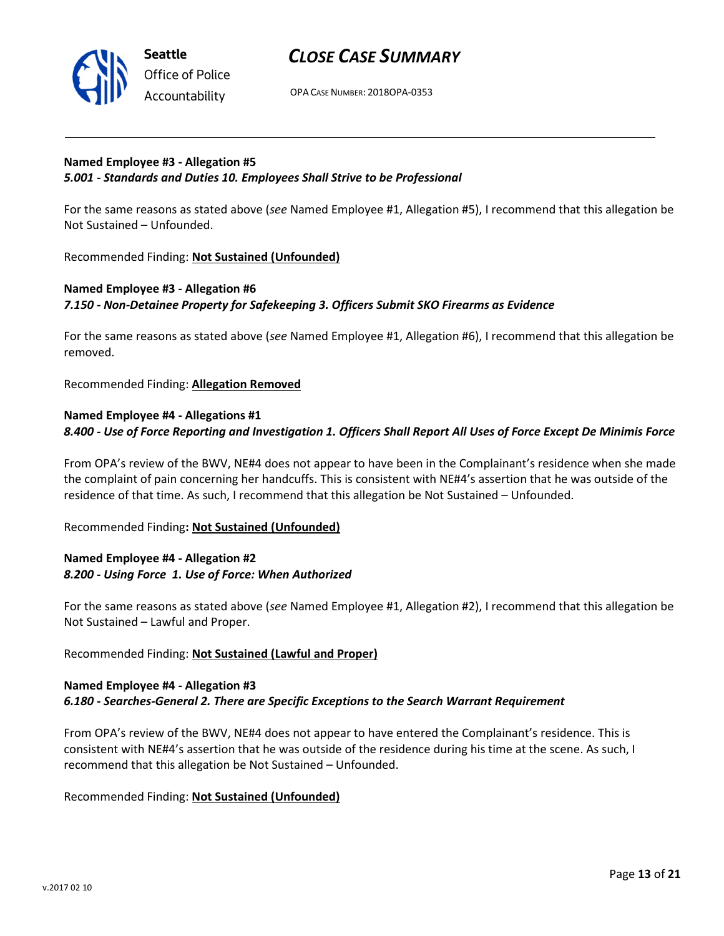

## CLOSE CASE SUMMARY

OPA CASE NUMBER: 2018OPA-0353

## Named Employee #3 - Allegation #5 5.001 - Standards and Duties 10. Employees Shall Strive to be Professional

For the same reasons as stated above (see Named Employee #1, Allegation #5), I recommend that this allegation be Not Sustained – Unfounded.

Recommended Finding: Not Sustained (Unfounded)

## Named Employee #3 - Allegation #6 7.150 - Non-Detainee Property for Safekeeping 3. Officers Submit SKO Firearms as Evidence

For the same reasons as stated above (see Named Employee #1, Allegation #6), I recommend that this allegation be removed.

Recommended Finding: Allegation Removed

## Named Employee #4 - Allegations #1 8.400 - Use of Force Reporting and Investigation 1. Officers Shall Report All Uses of Force Except De Minimis Force

From OPA's review of the BWV, NE#4 does not appear to have been in the Complainant's residence when she made the complaint of pain concerning her handcuffs. This is consistent with NE#4's assertion that he was outside of the residence of that time. As such, I recommend that this allegation be Not Sustained – Unfounded.

#### Recommended Finding: Not Sustained (Unfounded)

## Named Employee #4 - Allegation #2 8.200 - Using Force 1. Use of Force: When Authorized

For the same reasons as stated above (see Named Employee #1, Allegation #2), I recommend that this allegation be Not Sustained – Lawful and Proper.

## Recommended Finding: Not Sustained (Lawful and Proper)

#### Named Employee #4 - Allegation #3 6.180 - Searches-General 2. There are Specific Exceptions to the Search Warrant Requirement

From OPA's review of the BWV, NE#4 does not appear to have entered the Complainant's residence. This is consistent with NE#4's assertion that he was outside of the residence during his time at the scene. As such, I recommend that this allegation be Not Sustained – Unfounded.

Recommended Finding: Not Sustained (Unfounded)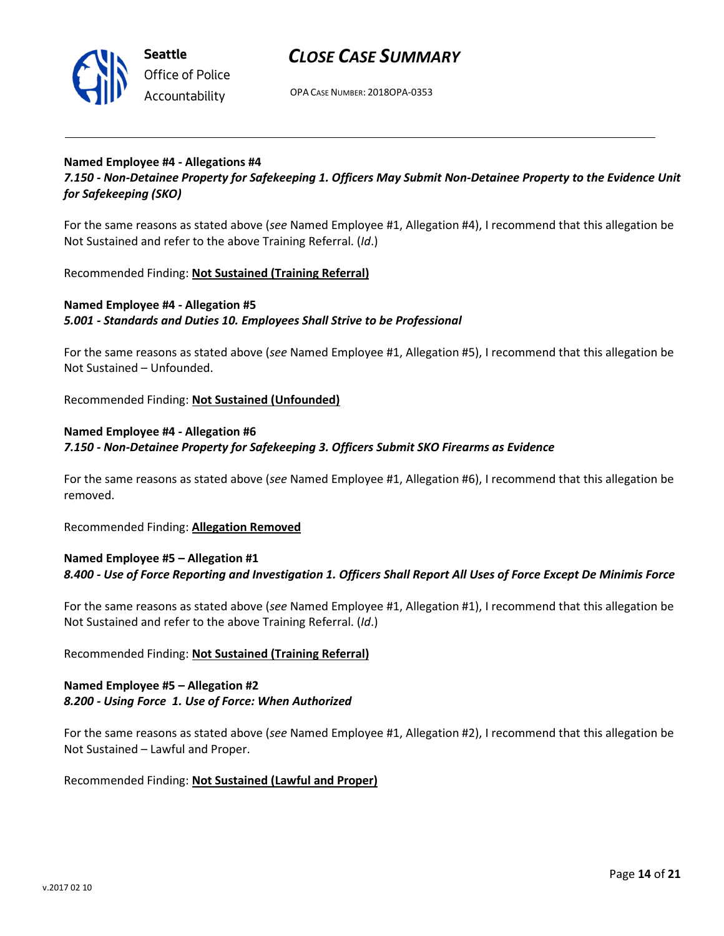

OPA CASE NUMBER: 2018OPA-0353

#### Named Employee #4 - Allegations #4

7.150 - Non-Detainee Property for Safekeeping 1. Officers May Submit Non-Detainee Property to the Evidence Unit for Safekeeping (SKO)

For the same reasons as stated above (see Named Employee #1, Allegation #4), I recommend that this allegation be Not Sustained and refer to the above Training Referral. (Id.)

Recommended Finding: Not Sustained (Training Referral)

### Named Employee #4 - Allegation #5 5.001 - Standards and Duties 10. Employees Shall Strive to be Professional

For the same reasons as stated above (see Named Employee #1, Allegation #5), I recommend that this allegation be Not Sustained – Unfounded.

Recommended Finding: Not Sustained (Unfounded)

#### Named Employee #4 - Allegation #6

7.150 - Non-Detainee Property for Safekeeping 3. Officers Submit SKO Firearms as Evidence

For the same reasons as stated above (see Named Employee #1, Allegation #6), I recommend that this allegation be removed.

Recommended Finding: Allegation Removed

## Named Employee #5 – Allegation #1 8.400 - Use of Force Reporting and Investigation 1. Officers Shall Report All Uses of Force Except De Minimis Force

For the same reasons as stated above (see Named Employee #1, Allegation #1), I recommend that this allegation be Not Sustained and refer to the above Training Referral. (Id.)

#### Recommended Finding: Not Sustained (Training Referral)

#### Named Employee #5 – Allegation #2 8.200 - Using Force 1. Use of Force: When Authorized

For the same reasons as stated above (see Named Employee #1, Allegation #2), I recommend that this allegation be Not Sustained – Lawful and Proper.

#### Recommended Finding: Not Sustained (Lawful and Proper)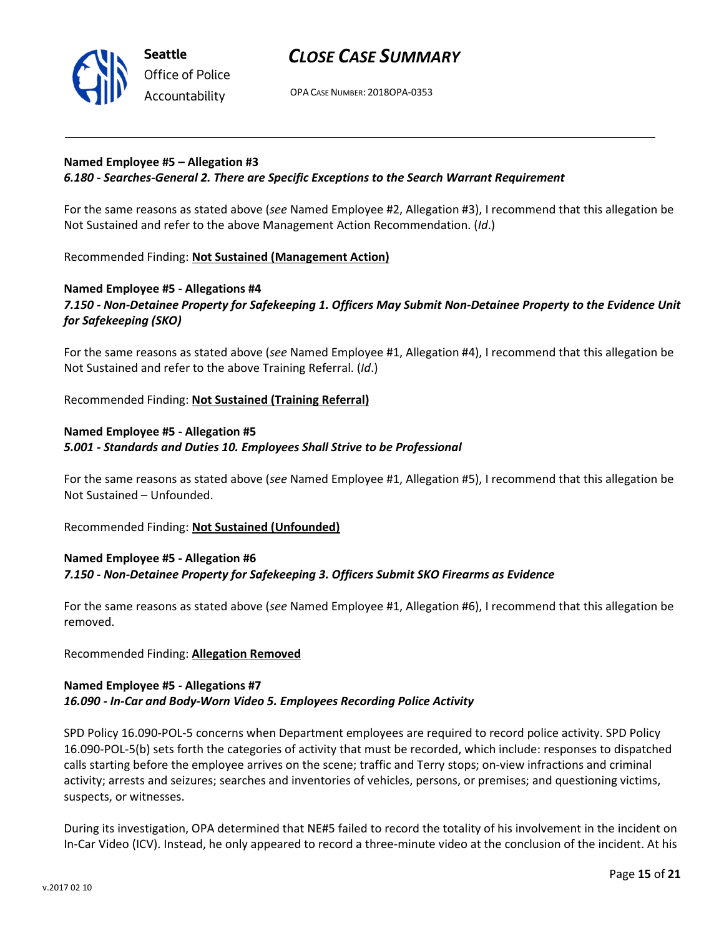

OPA CASE NUMBER: 2018OPA-0353

#### Named Employee #5 – Allegation #3

#### 6.180 - Searches-General 2. There are Specific Exceptions to the Search Warrant Requirement

For the same reasons as stated above (see Named Employee #2, Allegation #3), I recommend that this allegation be Not Sustained and refer to the above Management Action Recommendation. (Id.)

Recommended Finding: Not Sustained (Management Action)

### Named Employee #5 - Allegations #4 7.150 - Non-Detainee Property for Safekeeping 1. Officers May Submit Non-Detainee Property to the Evidence Unit for Safekeeping (SKO)

For the same reasons as stated above (see Named Employee #1, Allegation #4), I recommend that this allegation be Not Sustained and refer to the above Training Referral. (Id.)

Recommended Finding: Not Sustained (Training Referral)

### Named Employee #5 - Allegation #5 5.001 - Standards and Duties 10. Employees Shall Strive to be Professional

For the same reasons as stated above (see Named Employee #1, Allegation #5), I recommend that this allegation be Not Sustained – Unfounded.

Recommended Finding: Not Sustained (Unfounded)

### Named Employee #5 - Allegation #6 7.150 - Non-Detainee Property for Safekeeping 3. Officers Submit SKO Firearms as Evidence

For the same reasons as stated above (see Named Employee #1, Allegation #6), I recommend that this allegation be removed.

#### Recommended Finding: Allegation Removed

#### Named Employee #5 - Allegations #7 16.090 - In-Car and Body-Worn Video 5. Employees Recording Police Activity

SPD Policy 16.090-POL-5 concerns when Department employees are required to record police activity. SPD Policy 16.090-POL-5(b) sets forth the categories of activity that must be recorded, which include: responses to dispatched calls starting before the employee arrives on the scene; traffic and Terry stops; on-view infractions and criminal activity; arrests and seizures; searches and inventories of vehicles, persons, or premises; and questioning victims, suspects, or witnesses.

During its investigation, OPA determined that NE#5 failed to record the totality of his involvement in the incident on In-Car Video (ICV). Instead, he only appeared to record a three-minute video at the conclusion of the incident. At his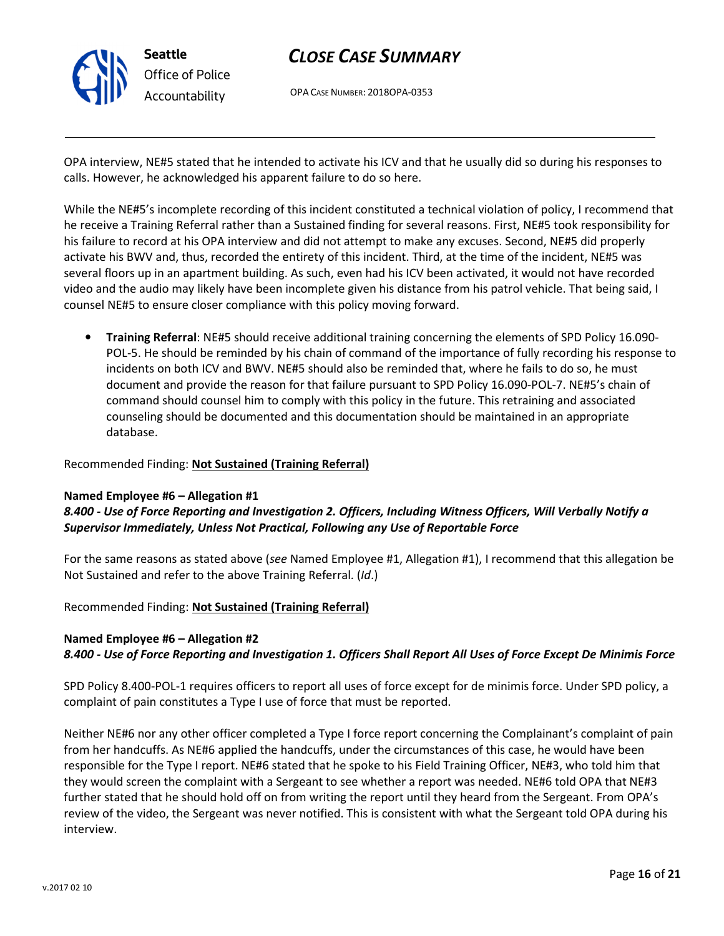

OPA CASE NUMBER: 2018OPA-0353

OPA interview, NE#5 stated that he intended to activate his ICV and that he usually did so during his responses to calls. However, he acknowledged his apparent failure to do so here.

While the NE#5's incomplete recording of this incident constituted a technical violation of policy, I recommend that he receive a Training Referral rather than a Sustained finding for several reasons. First, NE#5 took responsibility for his failure to record at his OPA interview and did not attempt to make any excuses. Second, NE#5 did properly activate his BWV and, thus, recorded the entirety of this incident. Third, at the time of the incident, NE#5 was several floors up in an apartment building. As such, even had his ICV been activated, it would not have recorded video and the audio may likely have been incomplete given his distance from his patrol vehicle. That being said, I counsel NE#5 to ensure closer compliance with this policy moving forward.

• Training Referral: NE#5 should receive additional training concerning the elements of SPD Policy 16.090- POL-5. He should be reminded by his chain of command of the importance of fully recording his response to incidents on both ICV and BWV. NE#5 should also be reminded that, where he fails to do so, he must document and provide the reason for that failure pursuant to SPD Policy 16.090-POL-7. NE#5's chain of command should counsel him to comply with this policy in the future. This retraining and associated counseling should be documented and this documentation should be maintained in an appropriate database.

#### Recommended Finding: Not Sustained (Training Referral)

#### Named Employee #6 – Allegation #1

## 8.400 - Use of Force Reporting and Investigation 2. Officers, Including Witness Officers, Will Verbally Notify a Supervisor Immediately, Unless Not Practical, Following any Use of Reportable Force

For the same reasons as stated above (see Named Employee #1, Allegation #1), I recommend that this allegation be Not Sustained and refer to the above Training Referral. (Id.)

#### Recommended Finding: Not Sustained (Training Referral)

## Named Employee #6 – Allegation #2 8.400 - Use of Force Reporting and Investigation 1. Officers Shall Report All Uses of Force Except De Minimis Force

SPD Policy 8.400-POL-1 requires officers to report all uses of force except for de minimis force. Under SPD policy, a complaint of pain constitutes a Type I use of force that must be reported.

Neither NE#6 nor any other officer completed a Type I force report concerning the Complainant's complaint of pain from her handcuffs. As NE#6 applied the handcuffs, under the circumstances of this case, he would have been responsible for the Type I report. NE#6 stated that he spoke to his Field Training Officer, NE#3, who told him that they would screen the complaint with a Sergeant to see whether a report was needed. NE#6 told OPA that NE#3 further stated that he should hold off on from writing the report until they heard from the Sergeant. From OPA's review of the video, the Sergeant was never notified. This is consistent with what the Sergeant told OPA during his interview.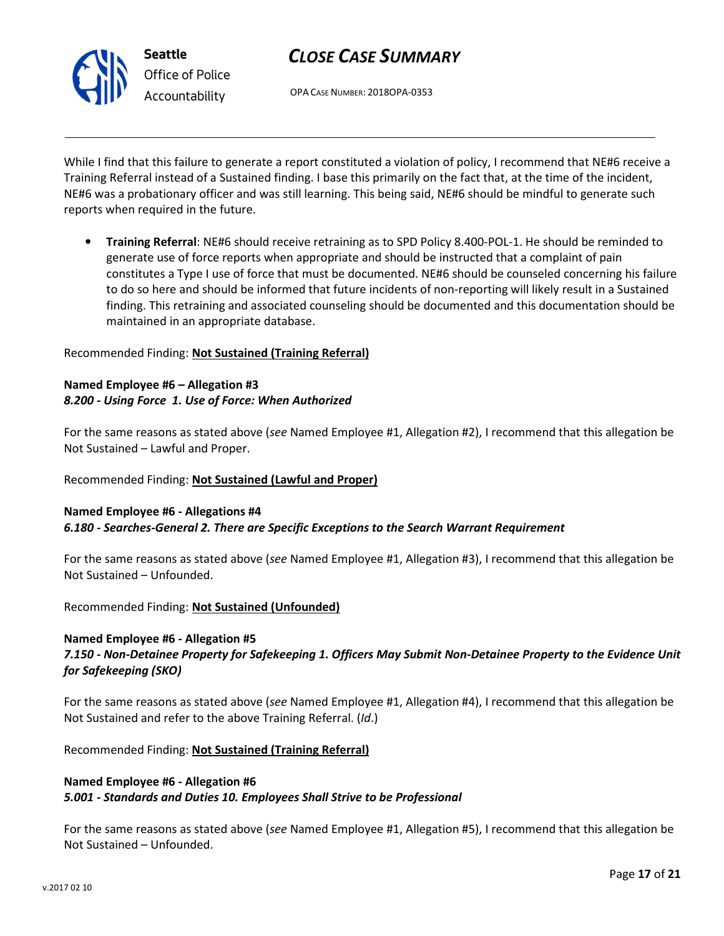

OPA CASE NUMBER: 2018OPA-0353

While I find that this failure to generate a report constituted a violation of policy, I recommend that NE#6 receive a Training Referral instead of a Sustained finding. I base this primarily on the fact that, at the time of the incident, NE#6 was a probationary officer and was still learning. This being said, NE#6 should be mindful to generate such reports when required in the future.

• Training Referral: NE#6 should receive retraining as to SPD Policy 8.400-POL-1. He should be reminded to generate use of force reports when appropriate and should be instructed that a complaint of pain constitutes a Type I use of force that must be documented. NE#6 should be counseled concerning his failure to do so here and should be informed that future incidents of non-reporting will likely result in a Sustained finding. This retraining and associated counseling should be documented and this documentation should be maintained in an appropriate database.

Recommended Finding: Not Sustained (Training Referral)

## Named Employee #6 – Allegation #3 8.200 - Using Force 1. Use of Force: When Authorized

For the same reasons as stated above (see Named Employee #1, Allegation #2), I recommend that this allegation be Not Sustained – Lawful and Proper.

Recommended Finding: Not Sustained (Lawful and Proper)

## Named Employee #6 - Allegations #4 6.180 - Searches-General 2. There are Specific Exceptions to the Search Warrant Requirement

For the same reasons as stated above (see Named Employee #1, Allegation #3), I recommend that this allegation be Not Sustained – Unfounded.

Recommended Finding: Not Sustained (Unfounded)

## Named Employee #6 - Allegation #5

7.150 - Non-Detainee Property for Safekeeping 1. Officers May Submit Non-Detainee Property to the Evidence Unit for Safekeeping (SKO)

For the same reasons as stated above (see Named Employee #1, Allegation #4), I recommend that this allegation be Not Sustained and refer to the above Training Referral. (Id.)

Recommended Finding: Not Sustained (Training Referral)

### Named Employee #6 - Allegation #6 5.001 - Standards and Duties 10. Employees Shall Strive to be Professional

For the same reasons as stated above (see Named Employee #1, Allegation #5), I recommend that this allegation be Not Sustained – Unfounded.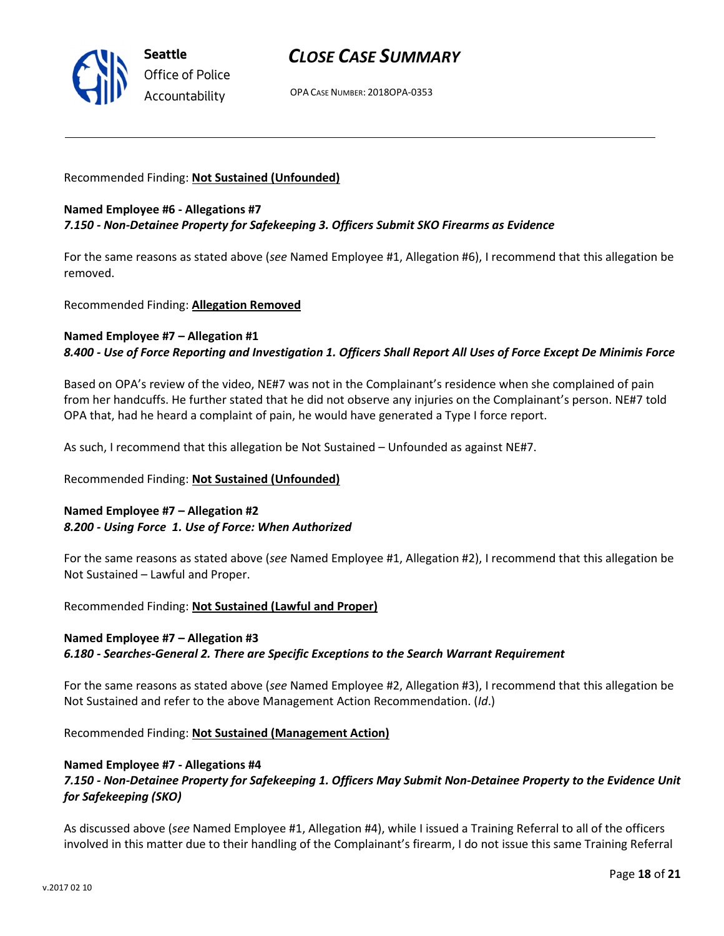

OPA CASE NUMBER: 2018OPA-0353

#### Recommended Finding: Not Sustained (Unfounded)

#### Named Employee #6 - Allegations #7 7.150 - Non-Detainee Property for Safekeeping 3. Officers Submit SKO Firearms as Evidence

For the same reasons as stated above (see Named Employee #1, Allegation #6), I recommend that this allegation be removed.

Recommended Finding: Allegation Removed

#### Named Employee #7 – Allegation #1 8.400 - Use of Force Reporting and Investigation 1. Officers Shall Report All Uses of Force Except De Minimis Force

Based on OPA's review of the video, NE#7 was not in the Complainant's residence when she complained of pain from her handcuffs. He further stated that he did not observe any injuries on the Complainant's person. NE#7 told OPA that, had he heard a complaint of pain, he would have generated a Type I force report.

As such, I recommend that this allegation be Not Sustained – Unfounded as against NE#7.

#### Recommended Finding: Not Sustained (Unfounded)

### Named Employee #7 – Allegation #2 8.200 - Using Force 1. Use of Force: When Authorized

For the same reasons as stated above (see Named Employee #1, Allegation #2), I recommend that this allegation be Not Sustained – Lawful and Proper.

Recommended Finding: Not Sustained (Lawful and Proper)

## Named Employee #7 – Allegation #3 6.180 - Searches-General 2. There are Specific Exceptions to the Search Warrant Requirement

For the same reasons as stated above (see Named Employee #2, Allegation #3), I recommend that this allegation be Not Sustained and refer to the above Management Action Recommendation. (Id.)

Recommended Finding: Not Sustained (Management Action)

#### Named Employee #7 - Allegations #4

### 7.150 - Non-Detainee Property for Safekeeping 1. Officers May Submit Non-Detainee Property to the Evidence Unit for Safekeeping (SKO)

As discussed above (see Named Employee #1, Allegation #4), while I issued a Training Referral to all of the officers involved in this matter due to their handling of the Complainant's firearm, I do not issue this same Training Referral

v.2017 02 10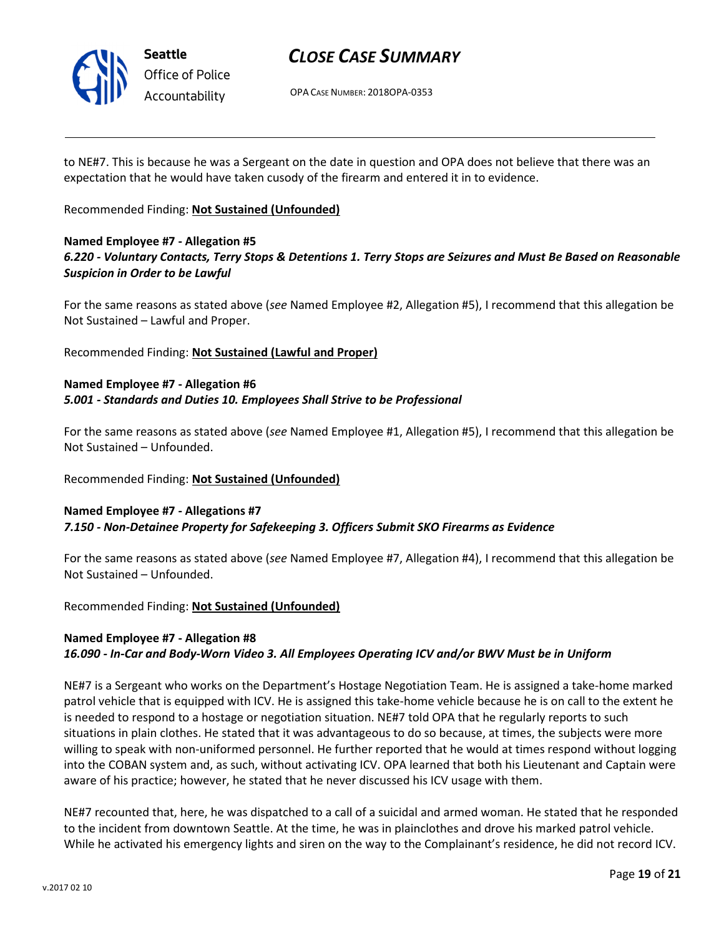

# CLOSE CASE SUMMARY

OPA CASE NUMBER: 2018OPA-0353

to NE#7. This is because he was a Sergeant on the date in question and OPA does not believe that there was an expectation that he would have taken cusody of the firearm and entered it in to evidence.

### Recommended Finding: Not Sustained (Unfounded)

### Named Employee #7 - Allegation #5 6.220 - Voluntary Contacts, Terry Stops & Detentions 1. Terry Stops are Seizures and Must Be Based on Reasonable Suspicion in Order to be Lawful

For the same reasons as stated above (see Named Employee #2, Allegation #5), I recommend that this allegation be Not Sustained – Lawful and Proper.

Recommended Finding: Not Sustained (Lawful and Proper)

### Named Employee #7 - Allegation #6 5.001 - Standards and Duties 10. Employees Shall Strive to be Professional

For the same reasons as stated above (see Named Employee #1, Allegation #5), I recommend that this allegation be Not Sustained – Unfounded.

## Recommended Finding: Not Sustained (Unfounded)

## Named Employee #7 - Allegations #7 7.150 - Non-Detainee Property for Safekeeping 3. Officers Submit SKO Firearms as Evidence

For the same reasons as stated above (see Named Employee #7, Allegation #4), I recommend that this allegation be Not Sustained – Unfounded.

Recommended Finding: Not Sustained (Unfounded)

## Named Employee #7 - Allegation #8

## 16.090 - In-Car and Body-Worn Video 3. All Employees Operating ICV and/or BWV Must be in Uniform

NE#7 is a Sergeant who works on the Department's Hostage Negotiation Team. He is assigned a take-home marked patrol vehicle that is equipped with ICV. He is assigned this take-home vehicle because he is on call to the extent he is needed to respond to a hostage or negotiation situation. NE#7 told OPA that he regularly reports to such situations in plain clothes. He stated that it was advantageous to do so because, at times, the subjects were more willing to speak with non-uniformed personnel. He further reported that he would at times respond without logging into the COBAN system and, as such, without activating ICV. OPA learned that both his Lieutenant and Captain were aware of his practice; however, he stated that he never discussed his ICV usage with them.

NE#7 recounted that, here, he was dispatched to a call of a suicidal and armed woman. He stated that he responded to the incident from downtown Seattle. At the time, he was in plainclothes and drove his marked patrol vehicle. While he activated his emergency lights and siren on the way to the Complainant's residence, he did not record ICV.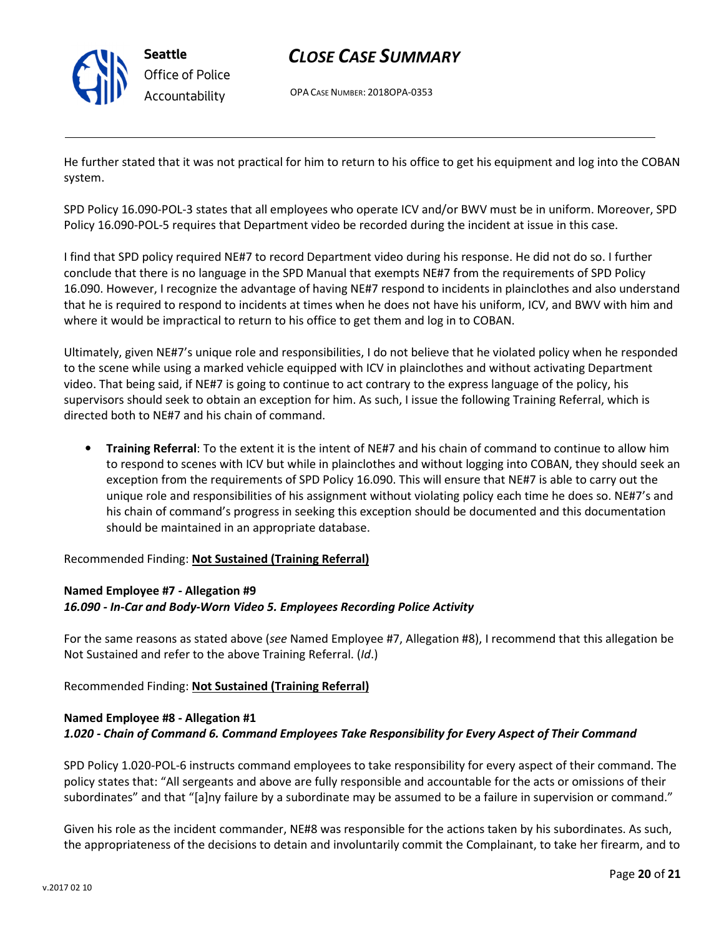

# CLOSE CASE SUMMARY

OPA CASE NUMBER: 2018OPA-0353

He further stated that it was not practical for him to return to his office to get his equipment and log into the COBAN system.

SPD Policy 16.090-POL-3 states that all employees who operate ICV and/or BWV must be in uniform. Moreover, SPD Policy 16.090-POL-5 requires that Department video be recorded during the incident at issue in this case.

I find that SPD policy required NE#7 to record Department video during his response. He did not do so. I further conclude that there is no language in the SPD Manual that exempts NE#7 from the requirements of SPD Policy 16.090. However, I recognize the advantage of having NE#7 respond to incidents in plainclothes and also understand that he is required to respond to incidents at times when he does not have his uniform, ICV, and BWV with him and where it would be impractical to return to his office to get them and log in to COBAN.

Ultimately, given NE#7's unique role and responsibilities, I do not believe that he violated policy when he responded to the scene while using a marked vehicle equipped with ICV in plainclothes and without activating Department video. That being said, if NE#7 is going to continue to act contrary to the express language of the policy, his supervisors should seek to obtain an exception for him. As such, I issue the following Training Referral, which is directed both to NE#7 and his chain of command.

• Training Referral: To the extent it is the intent of NE#7 and his chain of command to continue to allow him to respond to scenes with ICV but while in plainclothes and without logging into COBAN, they should seek an exception from the requirements of SPD Policy 16.090. This will ensure that NE#7 is able to carry out the unique role and responsibilities of his assignment without violating policy each time he does so. NE#7's and his chain of command's progress in seeking this exception should be documented and this documentation should be maintained in an appropriate database.

Recommended Finding: Not Sustained (Training Referral)

## Named Employee #7 - Allegation #9 16.090 - In-Car and Body-Worn Video 5. Employees Recording Police Activity

For the same reasons as stated above (see Named Employee #7, Allegation #8), I recommend that this allegation be Not Sustained and refer to the above Training Referral. (Id.)

Recommended Finding: Not Sustained (Training Referral)

## Named Employee #8 - Allegation #1 1.020 - Chain of Command 6. Command Employees Take Responsibility for Every Aspect of Their Command

SPD Policy 1.020-POL-6 instructs command employees to take responsibility for every aspect of their command. The policy states that: "All sergeants and above are fully responsible and accountable for the acts or omissions of their subordinates" and that "[a]ny failure by a subordinate may be assumed to be a failure in supervision or command."

Given his role as the incident commander, NE#8 was responsible for the actions taken by his subordinates. As such, the appropriateness of the decisions to detain and involuntarily commit the Complainant, to take her firearm, and to